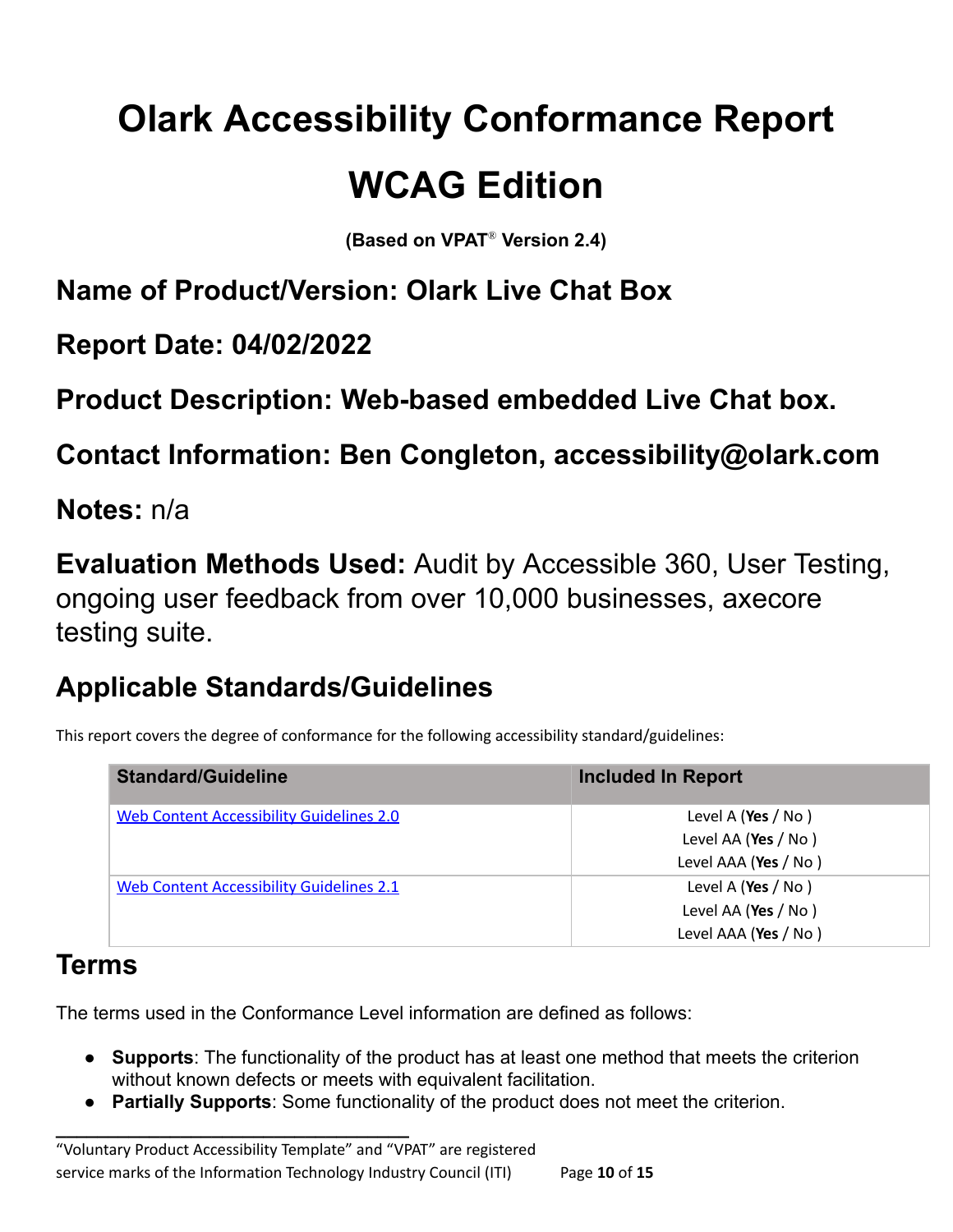# **Olark Accessibility Conformance Report**

# **WCAG Edition**

**(Based on VPAT** ® **Version 2.4)**

**Name of Product/Version: Olark Live Chat Box**

**Report Date: 04/02/2022**

**Product Description: Web-based embedded Live Chat box.**

**Contact Information: Ben Congleton, accessibility@olark.com**

**Notes:** n/a

**Evaluation Methods Used:** Audit by Accessible 360, User Testing, ongoing user feedback from over 10,000 businesses, axecore testing suite.

# **Applicable Standards/Guidelines**

This report covers the degree of conformance for the following accessibility standard/guidelines:

| <b>Standard/Guideline</b>                       | <b>Included In Report</b> |
|-------------------------------------------------|---------------------------|
| <b>Web Content Accessibility Guidelines 2.0</b> | Level A (Yes / No)        |
|                                                 | Level AA (Yes / No)       |
|                                                 | Level AAA (Yes / No)      |
| Web Content Accessibility Guidelines 2.1        | Level A (Yes / No)        |
|                                                 | Level AA (Yes / No)       |
|                                                 | Level AAA (Yes / No)      |

#### **Terms**

The terms used in the Conformance Level information are defined as follows:

- **Supports**: The functionality of the product has at least one method that meets the criterion without known defects or meets with equivalent facilitation.
- **Partially Supports**: Some functionality of the product does not meet the criterion.

**\_\_\_\_\_\_\_\_\_\_\_\_\_\_\_\_\_\_\_\_\_\_\_\_\_\_\_\_\_\_\_\_\_\_**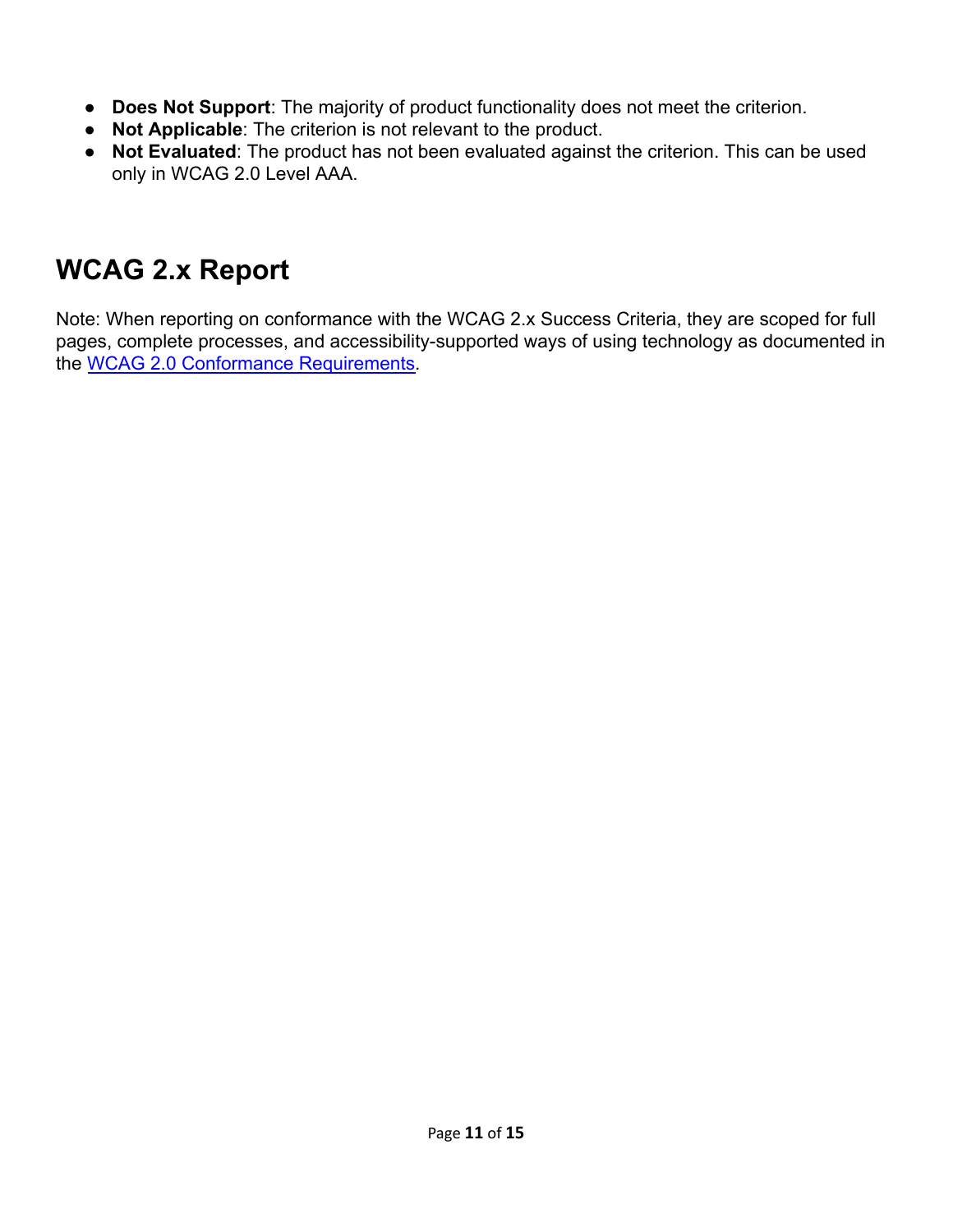- **Does Not Support**: The majority of product functionality does not meet the criterion.
- **Not Applicable**: The criterion is not relevant to the product.
- **Not Evaluated**: The product has not been evaluated against the criterion. This can be used only in WCAG 2.0 Level AAA.

## **WCAG 2.x Report**

Note: When reporting on conformance with the WCAG 2.x Success Criteria, they are scoped for full pages, complete processes, and accessibility-supported ways of using technology as documented in the [WCAG 2.0 Conformance Requirements.](https://www.w3.org/TR/WCAG20/#conformance-reqs)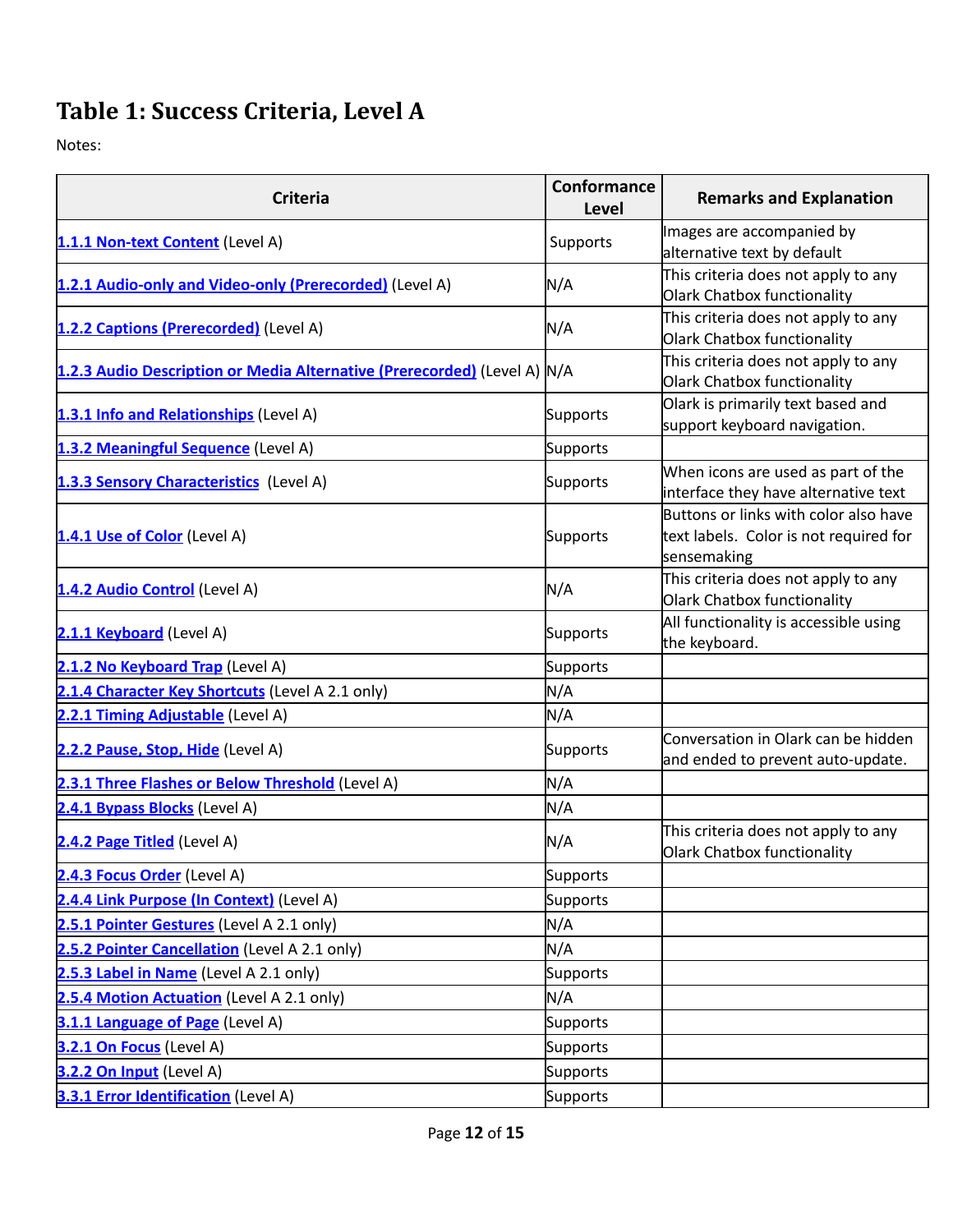### **Table 1: Success Criteria, Level A**

Notes:

| <b>Criteria</b>                                                          | <b>Conformance</b><br>Level | <b>Remarks and Explanation</b>                                                                 |
|--------------------------------------------------------------------------|-----------------------------|------------------------------------------------------------------------------------------------|
| 1.1.1 Non-text Content (Level A)                                         | Supports                    | Images are accompanied by<br>alternative text by default                                       |
| 1.2.1 Audio-only and Video-only (Prerecorded) (Level A)                  | N/A                         | This criteria does not apply to any<br>Olark Chatbox functionality                             |
| 1.2.2 Captions (Prerecorded) (Level A)                                   | N/A                         | This criteria does not apply to any<br>Olark Chatbox functionality                             |
| 1.2.3 Audio Description or Media Alternative (Prerecorded) (Level A) N/A |                             | This criteria does not apply to any<br>Olark Chatbox functionality                             |
| 1.3.1 Info and Relationships (Level A)                                   | Supports                    | Olark is primarily text based and<br>support keyboard navigation.                              |
| 1.3.2 Meaningful Sequence (Level A)                                      | <b>Supports</b>             |                                                                                                |
| 1.3.3 Sensory Characteristics (Level A)                                  | Supports                    | When icons are used as part of the<br>interface they have alternative text                     |
| 1.4.1 Use of Color (Level A)                                             | <b>Supports</b>             | Buttons or links with color also have<br>text labels. Color is not required for<br>sensemaking |
| 1.4.2 Audio Control (Level A)                                            | N/A                         | This criteria does not apply to any<br>Olark Chatbox functionality                             |
| 2.1.1 Keyboard (Level A)                                                 | Supports                    | All functionality is accessible using<br>the keyboard.                                         |
| 2.1.2 No Keyboard Trap (Level A)                                         | Supports                    |                                                                                                |
| 2.1.4 Character Key Shortcuts (Level A 2.1 only)                         | N/A                         |                                                                                                |
| 2.2.1 Timing Adjustable (Level A)                                        | N/A                         |                                                                                                |
| 2.2.2 Pause, Stop, Hide (Level A)                                        | Supports                    | Conversation in Olark can be hidden<br>and ended to prevent auto-update.                       |
| 2.3.1 Three Flashes or Below Threshold (Level A)                         | N/A                         |                                                                                                |
| 2.4.1 Bypass Blocks (Level A)                                            | N/A                         |                                                                                                |
| 2.4.2 Page Titled (Level A)                                              | N/A                         | This criteria does not apply to any<br>Olark Chatbox functionality                             |
| 2.4.3 Focus Order (Level A)                                              | Supports                    |                                                                                                |
| 2.4.4 Link Purpose (In Context) (Level A)                                | Supports                    |                                                                                                |
| 2.5.1 Pointer Gestures (Level A 2.1 only)                                | N/A                         |                                                                                                |
| 2.5.2 Pointer Cancellation (Level A 2.1 only)                            | N/A                         |                                                                                                |
| 2.5.3 Label in Name (Level A 2.1 only)                                   | Supports                    |                                                                                                |
| 2.5.4 Motion Actuation (Level A 2.1 only)                                | N/A                         |                                                                                                |
| 3.1.1 Language of Page (Level A)                                         | <b>Supports</b>             |                                                                                                |
| 3.2.1 On Focus (Level A)                                                 | <b>Supports</b>             |                                                                                                |
| 3.2.2 On Input (Level A)                                                 | Supports                    |                                                                                                |
| 3.3.1 Error Identification (Level A)                                     | <b>Supports</b>             |                                                                                                |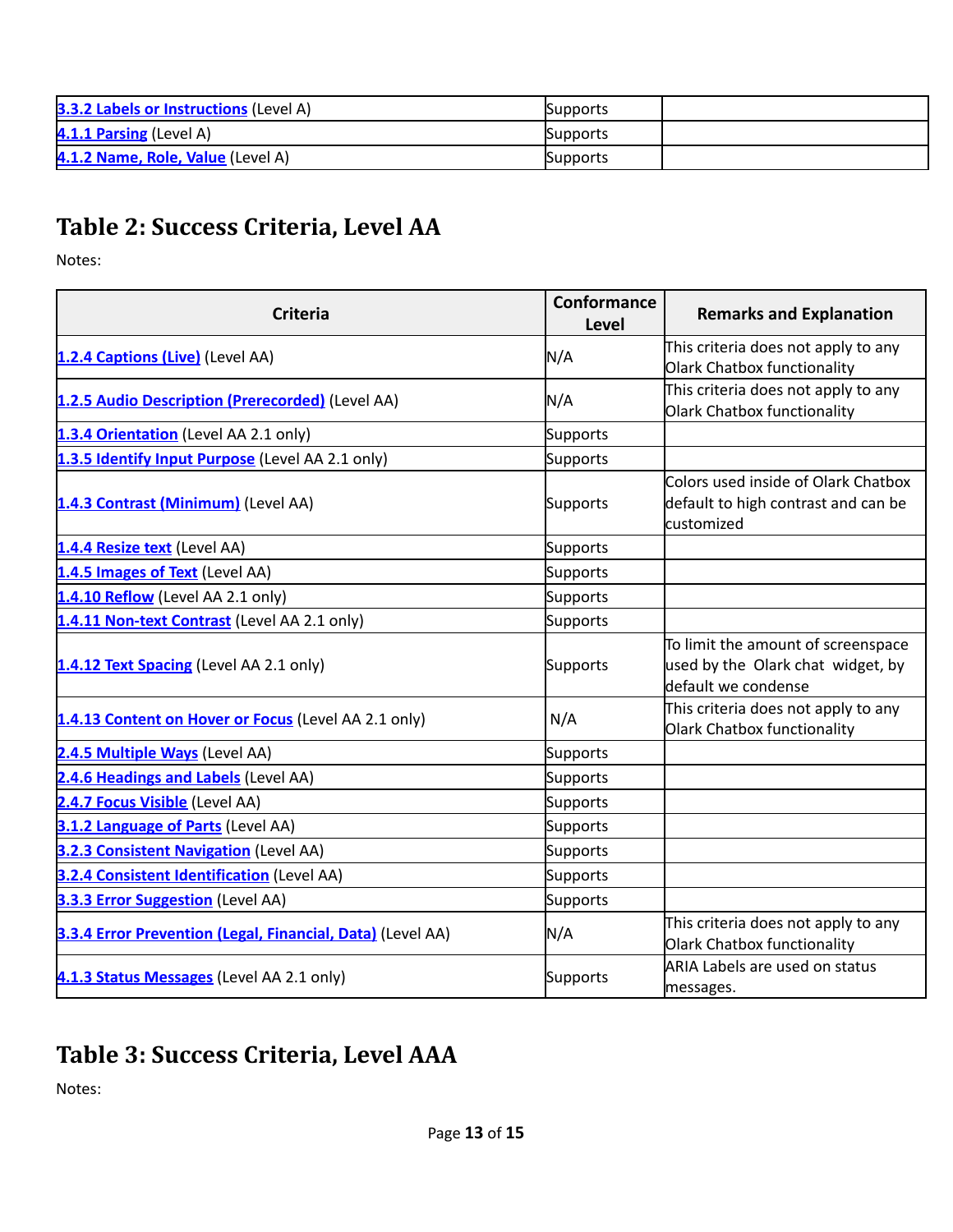| <b>3.3.2 Labels or Instructions (Level A)</b> | Supports |  |
|-----------------------------------------------|----------|--|
| 4.1.1 Parsing (Level A)                       | Supports |  |
| 4.1.2 Name, Role, Value (Level A)             | Supports |  |

#### **Table 2: Success Criteria, Level AA**

Notes:

| <b>Criteria</b>                                            | <b>Conformance</b><br><b>Level</b> | <b>Remarks and Explanation</b>                                                                 |
|------------------------------------------------------------|------------------------------------|------------------------------------------------------------------------------------------------|
| 1.2.4 Captions (Live) (Level AA)                           | N/A                                | This criteria does not apply to any<br>Olark Chatbox functionality                             |
| 1.2.5 Audio Description (Prerecorded) (Level AA)           | N/A                                | This criteria does not apply to any<br>Olark Chatbox functionality                             |
| 1.3.4 Orientation (Level AA 2.1 only)                      | Supports                           |                                                                                                |
| 1.3.5 Identify Input Purpose (Level AA 2.1 only)           | <b>Supports</b>                    |                                                                                                |
| 1.4.3 Contrast (Minimum) (Level AA)                        | Supports                           | Colors used inside of Olark Chatbox<br>default to high contrast and can be<br>customized       |
| 1.4.4 Resize text (Level AA)                               | <b>Supports</b>                    |                                                                                                |
| 1.4.5 Images of Text (Level AA)                            | Supports                           |                                                                                                |
| 1.4.10 Reflow (Level AA 2.1 only)                          | Supports                           |                                                                                                |
| 1.4.11 Non-text Contrast (Level AA 2.1 only)               | <b>Supports</b>                    |                                                                                                |
| 1.4.12 Text Spacing (Level AA 2.1 only)                    | <b>Supports</b>                    | To limit the amount of screenspace<br>used by the Olark chat widget, by<br>default we condense |
| 1.4.13 Content on Hover or Focus (Level AA 2.1 only)       | N/A                                | This criteria does not apply to any<br>Olark Chatbox functionality                             |
| 2.4.5 Multiple Ways (Level AA)                             | <b>Supports</b>                    |                                                                                                |
| 2.4.6 Headings and Labels (Level AA)                       | Supports                           |                                                                                                |
| 2.4.7 Focus Visible (Level AA)                             | Supports                           |                                                                                                |
| 3.1.2 Language of Parts (Level AA)                         | <b>Supports</b>                    |                                                                                                |
| 3.2.3 Consistent Navigation (Level AA)                     | <b>Supports</b>                    |                                                                                                |
| 3.2.4 Consistent Identification (Level AA)                 | <b>Supports</b>                    |                                                                                                |
| 3.3.3 Error Suggestion (Level AA)                          | <b>Supports</b>                    |                                                                                                |
| 3.3.4 Error Prevention (Legal, Financial, Data) (Level AA) | N/A                                | This criteria does not apply to any<br>Olark Chatbox functionality                             |
| 4.1.3 Status Messages (Level AA 2.1 only)                  | <b>Supports</b>                    | ARIA Labels are used on status<br>messages.                                                    |

#### **Table 3: Success Criteria, Level AAA**

Notes: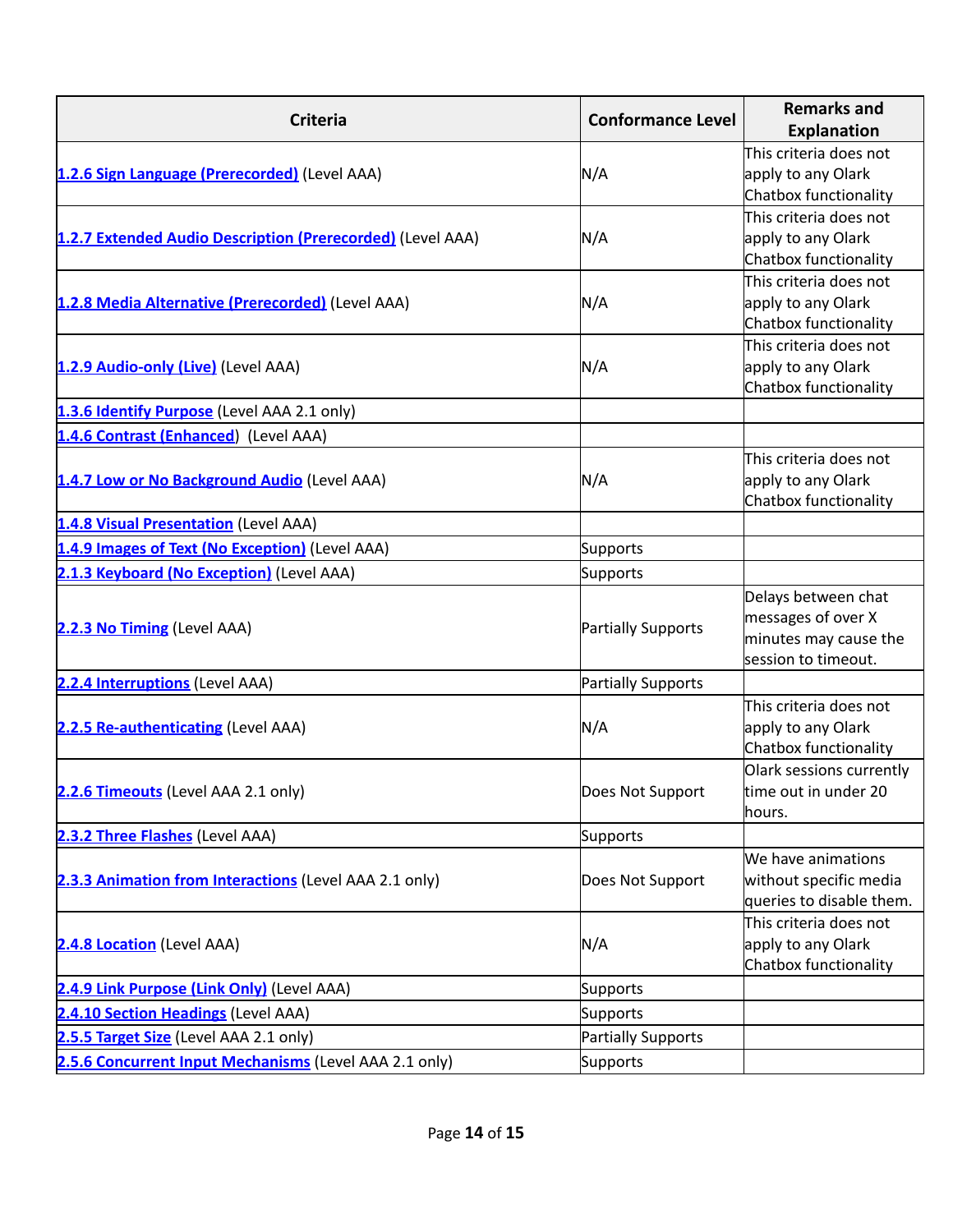| <b>Criteria</b>                                            | <b>Conformance Level</b>  | <b>Remarks and</b><br><b>Explanation</b>                                                  |
|------------------------------------------------------------|---------------------------|-------------------------------------------------------------------------------------------|
| 1.2.6 Sign Language (Prerecorded) (Level AAA)              | N/A                       | This criteria does not<br>apply to any Olark<br>Chatbox functionality                     |
| 1.2.7 Extended Audio Description (Prerecorded) (Level AAA) | N/A                       | This criteria does not<br>apply to any Olark<br>Chatbox functionality                     |
| 1.2.8 Media Alternative (Prerecorded) (Level AAA)          | N/A                       | This criteria does not<br>apply to any Olark<br>Chatbox functionality                     |
| 1.2.9 Audio-only (Live) (Level AAA)                        | N/A                       | This criteria does not<br>apply to any Olark<br>Chatbox functionality                     |
| 1.3.6 Identify Purpose (Level AAA 2.1 only)                |                           |                                                                                           |
| 1.4.6 Contrast (Enhanced) (Level AAA)                      |                           |                                                                                           |
| 1.4.7 Low or No Background Audio (Level AAA)               | N/A                       | This criteria does not<br>apply to any Olark<br>Chatbox functionality                     |
| 1.4.8 Visual Presentation (Level AAA)                      |                           |                                                                                           |
| 1.4.9 Images of Text (No Exception) (Level AAA)            | <b>Supports</b>           |                                                                                           |
| 2.1.3 Keyboard (No Exception) (Level AAA)                  | <b>Supports</b>           |                                                                                           |
| 2.2.3 No Timing (Level AAA)                                | <b>Partially Supports</b> | Delays between chat<br>messages of over X<br>minutes may cause the<br>session to timeout. |
| 2.2.4 Interruptions (Level AAA)                            | <b>Partially Supports</b> |                                                                                           |
| 2.2.5 Re-authenticating (Level AAA)                        | N/A                       | This criteria does not<br>apply to any Olark<br>Chatbox functionality                     |
| 2.2.6 Timeouts (Level AAA 2.1 only)                        | Does Not Support          | Olark sessions currently<br>time out in under 20<br>hours.                                |
| 2.3.2 Three Flashes (Level AAA)                            | <b>Supports</b>           |                                                                                           |
| 2.3.3 Animation from Interactions (Level AAA 2.1 only)     | Does Not Support          | We have animations<br>without specific media<br>queries to disable them.                  |
| 2.4.8 Location (Level AAA)                                 | N/A                       | This criteria does not<br>apply to any Olark<br>Chatbox functionality                     |
| 2.4.9 Link Purpose (Link Only) (Level AAA)                 | Supports                  |                                                                                           |
| 2.4.10 Section Headings (Level AAA)                        | <b>Supports</b>           |                                                                                           |
| 2.5.5 Target Size (Level AAA 2.1 only)                     | <b>Partially Supports</b> |                                                                                           |
| 2.5.6 Concurrent Input Mechanisms (Level AAA 2.1 only)     | <b>Supports</b>           |                                                                                           |